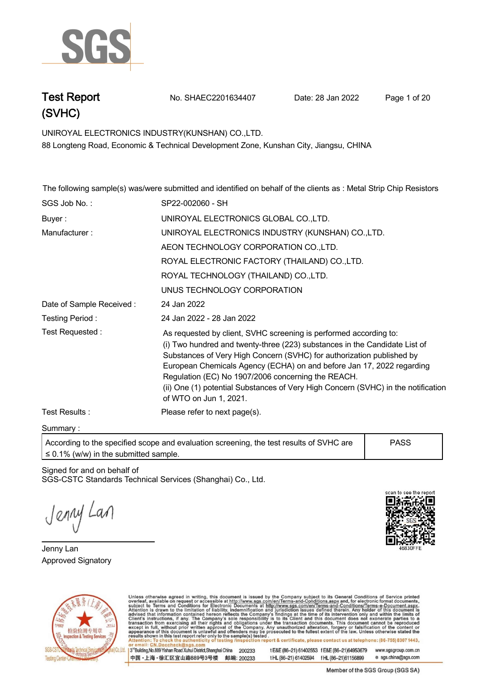

**Test Report. No. SHAEC2201634407 Date: 28 Jan 2022. Page 1 of 20.**

**UNIROYAL ELECTRONICS INDUSTRY(KUNSHAN) CO.,LTD. . 88 Longteng Road, Economic & Technical Development Zone, Kunshan City, Jiangsu, CHINA**

**The following sample(s) was/were submitted and identified on behalf of the clients as : Metal Strip Chip Resistors .**

| SGS Job No.:             | SP22-002060 - SH                                                                                                                                                                                                                                                                                                                                                                                                                                                       |
|--------------------------|------------------------------------------------------------------------------------------------------------------------------------------------------------------------------------------------------------------------------------------------------------------------------------------------------------------------------------------------------------------------------------------------------------------------------------------------------------------------|
| Buyer:                   | UNIROYAL ELECTRONICS GLOBAL CO., LTD.                                                                                                                                                                                                                                                                                                                                                                                                                                  |
| Manufacturer:            | UNIROYAL ELECTRONICS INDUSTRY (KUNSHAN) CO., LTD.                                                                                                                                                                                                                                                                                                                                                                                                                      |
|                          | AEON TECHNOLOGY CORPORATION CO., LTD.                                                                                                                                                                                                                                                                                                                                                                                                                                  |
|                          | ROYAL ELECTRONIC FACTORY (THAILAND) CO., LTD.                                                                                                                                                                                                                                                                                                                                                                                                                          |
|                          | ROYAL TECHNOLOGY (THAILAND) CO., LTD.                                                                                                                                                                                                                                                                                                                                                                                                                                  |
|                          | UNUS TECHNOLOGY CORPORATION                                                                                                                                                                                                                                                                                                                                                                                                                                            |
| Date of Sample Received: | 24 Jan 2022                                                                                                                                                                                                                                                                                                                                                                                                                                                            |
| Testing Period:          | 24 Jan 2022 - 28 Jan 2022                                                                                                                                                                                                                                                                                                                                                                                                                                              |
| Test Requested:          | As requested by client, SVHC screening is performed according to:<br>(i) Two hundred and twenty-three (223) substances in the Candidate List of<br>Substances of Very High Concern (SVHC) for authorization published by<br>European Chemicals Agency (ECHA) on and before Jan 17, 2022 regarding<br>Regulation (EC) No 1907/2006 concerning the REACH.<br>(ii) One (1) potential Substances of Very High Concern (SVHC) in the notification<br>of WTO on Jun 1, 2021. |
| Test Results:            | Please refer to next page(s).                                                                                                                                                                                                                                                                                                                                                                                                                                          |

**Summary :.**

**According to the specified scope and evaluation screening, the test results of SVHC are ≤ 0.1% (w/w) in the submitted sample. PASS**

Signed for and on behalf of SGS-CSTC Standards Technical Services (Shanghai) Co., Ltd..

Jenny Lan

**Jenny Lan. Approved Signatory . . .**





Unless otherwise agreed in writing, this document is issued by the Company subject to its General Conditions of Service printed overleaf, available on request or accessible at http://www.sgs.com/en/Terms-and-Conditions.asp

13<sup>rd</sup> Building No.889 Yishan Road Xuhui District Shanghai China 200233 中国·上海·徐汇区宜山路889号3号楼 邮编: 200233 tE&E (86-21) 61402553 fE&E (86-21)64953679 www.sgsgroup.com.cn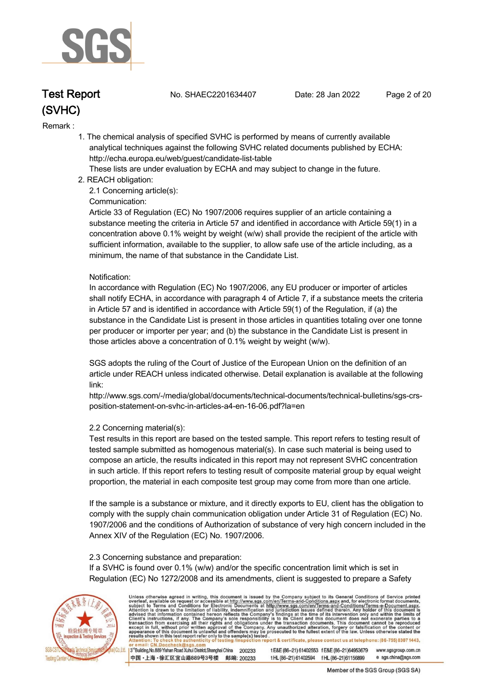

**Test Report. No. SHAEC2201634407 Date: 28 Jan 2022. Page 2 of 20.**

#### **Remark :.**

 **1. The chemical analysis of specified SVHC is performed by means of currently available analytical techniques against the following SVHC related documents published by ECHA: http://echa.europa.eu/web/guest/candidate-list-table** 

 **These lists are under evaluation by ECHA and may subject to change in the future.** 

 **2. REACH obligation:** 

 **2.1 Concerning article(s):** 

#### **Communication:**

 **Article 33 of Regulation (EC) No 1907/2006 requires supplier of an article containing a substance meeting the criteria in Article 57 and identified in accordance with Article 59(1) in a concentration above 0.1% weight by weight (w/w) shall provide the recipient of the article with sufficient information, available to the supplier, to allow safe use of the article including, as a minimum, the name of that substance in the Candidate List.** 

#### **Notification:**

 **In accordance with Regulation (EC) No 1907/2006, any EU producer or importer of articles shall notify ECHA, in accordance with paragraph 4 of Article 7, if a substance meets the criteria in Article 57 and is identified in accordance with Article 59(1) of the Regulation, if (a) the substance in the Candidate List is present in those articles in quantities totaling over one tonne per producer or importer per year; and (b) the substance in the Candidate List is present in those articles above a concentration of 0.1% weight by weight (w/w).** 

 **SGS adopts the ruling of the Court of Justice of the European Union on the definition of an article under REACH unless indicated otherwise. Detail explanation is available at the following link:** 

 **http://www.sgs.com/-/media/global/documents/technical-documents/technical-bulletins/sgs-crs position-statement-on-svhc-in-articles-a4-en-16-06.pdf?la=en** 

### **2.2 Concerning material(s):**

 **Test results in this report are based on the tested sample. This report refers to testing result of tested sample submitted as homogenous material(s). In case such material is being used to compose an article, the results indicated in this report may not represent SVHC concentration in such article. If this report refers to testing result of composite material group by equal weight proportion, the material in each composite test group may come from more than one article.** 

 **If the sample is a substance or mixture, and it directly exports to EU, client has the obligation to comply with the supply chain communication obligation under Article 31 of Regulation (EC) No. 1907/2006 and the conditions of Authorization of substance of very high concern included in the Annex XIV of the Regulation (EC) No. 1907/2006.** 

#### **2.3 Concerning substance and preparation:**

 **If a SVHC is found over 0.1% (w/w) and/or the specific concentration limit which is set in Regulation (EC) No 1272/2008 and its amendments, client is suggested to prepare a Safety** 



Unless otherwise agreed in writing, this document is issued by the Company subject to its General Conditions of Service printed overleaf, available on request or accessible at http://www.sgs.com/en/Terms-and-Conditions.asp

3<sup>rd</sup>Building, No.889 Yishan Road Xuhui District, Shanghai China 200233 中国·上海·徐汇区宜山路889号3号楼 邮编: 200233 tE&E (86-21) 61402553 fE&E (86-21)64953679 www.sgsgroup.com.cn t HL (86-21) 61402594 f HL (86-21) 61156899 e sgs.china@sgs.com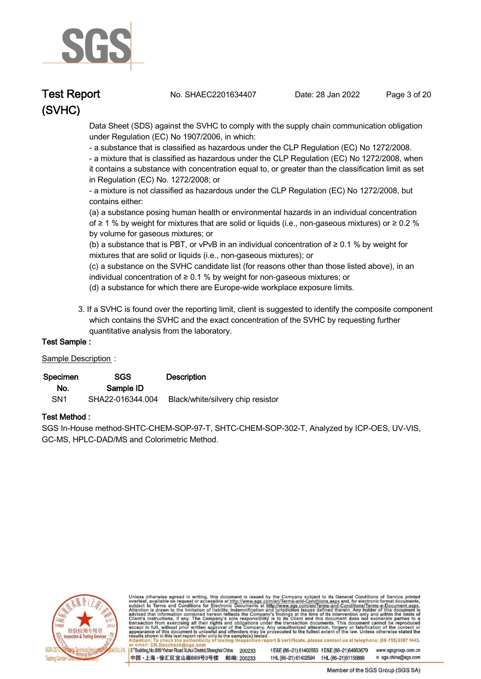

**Test Report. No. SHAEC2201634407 Date: 28 Jan 2022. Page 3 of 20.**

 **Data Sheet (SDS) against the SVHC to comply with the supply chain communication obligation under Regulation (EC) No 1907/2006, in which:** 

 **- a substance that is classified as hazardous under the CLP Regulation (EC) No 1272/2008.** 

 **- a mixture that is classified as hazardous under the CLP Regulation (EC) No 1272/2008, when it contains a substance with concentration equal to, or greater than the classification limit as set in Regulation (EC) No. 1272/2008; or** 

 **- a mixture is not classified as hazardous under the CLP Regulation (EC) No 1272/2008, but contains either:** 

 **(a) a substance posing human health or environmental hazards in an individual concentration of ≥ 1 % by weight for mixtures that are solid or liquids (i.e., non-gaseous mixtures) or ≥ 0.2 % by volume for gaseous mixtures; or** 

 **(b) a substance that is PBT, or vPvB in an individual concentration of ≥ 0.1 % by weight for mixtures that are solid or liquids (i.e., non-gaseous mixtures); or** 

 **(c) a substance on the SVHC candidate list (for reasons other than those listed above), in an individual concentration of ≥ 0.1 % by weight for non-gaseous mixtures; or** 

- **(d) a substance for which there are Europe-wide workplace exposure limits.**
- **3. If a SVHC is found over the reporting limit, client is suggested to identify the composite component which contains the SVHC and the exact concentration of the SVHC by requesting further quantitative analysis from the laboratory.**

### **Test Sample :.**

### **Sample Description :.**

| Specimen        | SGS              | <b>Description</b>                |
|-----------------|------------------|-----------------------------------|
| No.             | Sample ID        |                                   |
| SN <sub>1</sub> | SHA22-016344.004 | Black/white/silvery chip resistor |

### **Test Method :.**

**SGS In-House method-SHTC-CHEM-SOP-97-T, SHTC-CHEM-SOP-302-T, Analyzed by ICP-OES, UV-VIS, GC-MS, HPLC-DAD/MS and Colorimetric Method. .**



Unless otherwise agreed in writing, this document is issued by the Company subject to its General Conditions of Service printed overleaf, available on request or accessible at http://www.sgs.com/en/Terms-and-Conditions.asp

3<sup>rd</sup>Building, No.889 Yishan Road Xuhui District, Shanghai China 200233 中国·上海·徐汇区宜山路889号3号楼 邮编: 200233

t E&E (86-21) 61402553 f E&E (86-21)64953679 www.sgsgroup.com.cn t HL (86-21) 61402594 f HL (86-21) 61156899 e sgs.china@sgs.com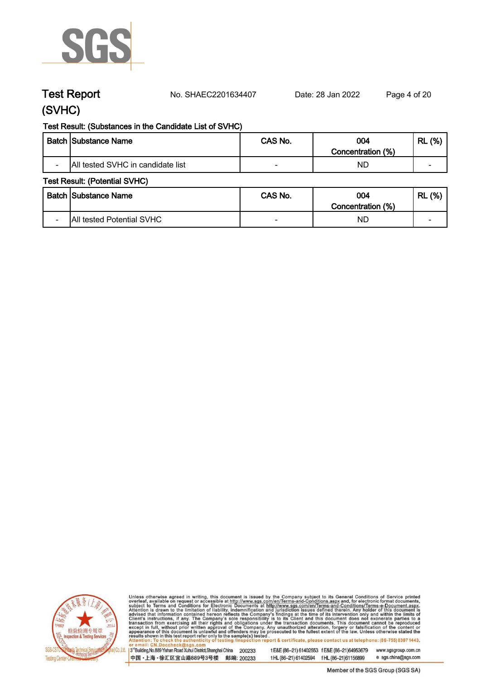

**Test Report. No. SHAEC2201634407 Date: 28 Jan 2022. Page 4 of 20.**

# **(SVHC)**

### **Test Result: (Substances in the Candidate List of SVHC)**

|                          | <b>Batch Substance Name</b>       | CAS No. | 004<br>Concentration (%) | (%)<br><b>RL</b>         |
|--------------------------|-----------------------------------|---------|--------------------------|--------------------------|
| $\overline{\phantom{0}}$ | All tested SVHC in candidate list |         | ND                       | $\overline{\phantom{0}}$ |

### **Test Result: (Potential SVHC)**

| <b>Batch Substance Name</b>                                  | CAS No. | 004                      | (%)<br><b>RL</b>         |
|--------------------------------------------------------------|---------|--------------------------|--------------------------|
| <b>All tested Potential SVHC</b><br>$\overline{\phantom{a}}$ | -       | Concentration (%)<br>ND. | $\overline{\phantom{0}}$ |



Unless otherwise agreed in writing, this document is issued by the Company subject to its General Conditions of Service printed overleaf, available on request or accessible at http://www.sgs.com/en/Terms-and-Conditions.asp

13<sup>rd</sup> Building, No.889 Yishan Road Xuhui District, Shanghai China 200233 中国·上海·徐汇区宜山路889号3号楼 邮编: 200233

tE&E (86-21) 61402553 fE&E (86-21)64953679 www.sgsgroup.com.cn tHL (86-21) 61402594 fHL (86-21)61156899 e sgs.china@sgs.com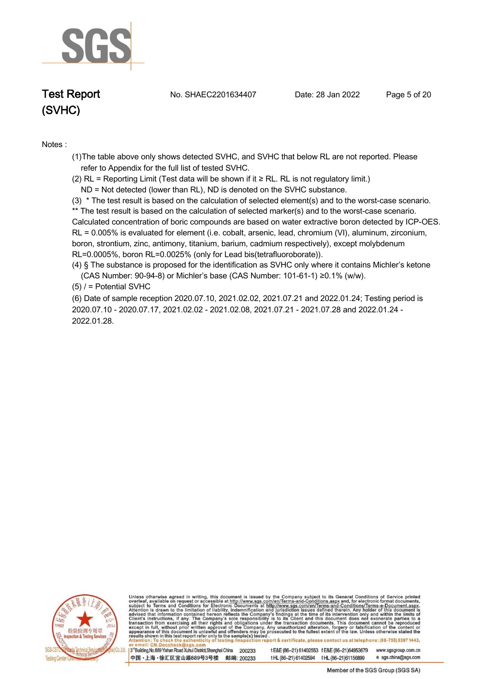

**Test Report. No. SHAEC2201634407 Date: 28 Jan 2022. Page 5 of 20.**

### **Notes :.**

**(1)The table above only shows detected SVHC, and SVHC that below RL are not reported. Please refer to Appendix for the full list of tested SVHC.**

**(2) RL = Reporting Limit (Test data will be shown if it ≥ RL. RL is not regulatory limit.)**

 **ND = Not detected (lower than RL), ND is denoted on the SVHC substance.**

**(3) \* The test result is based on the calculation of selected element(s) and to the worst-case scenario. \*\* The test result is based on the calculation of selected marker(s) and to the worst-case scenario. Calculated concentration of boric compounds are based on water extractive boron detected by ICP-OES. RL = 0.005% is evaluated for element (i.e. cobalt, arsenic, lead, chromium (VI), aluminum, zirconium, boron, strontium, zinc, antimony, titanium, barium, cadmium respectively), except molybdenum RL=0.0005%, boron RL=0.0025% (only for Lead bis(tetrafluoroborate)).** 

**(4) § The substance is proposed for the identification as SVHC only where it contains Michler's ketone**

 **(CAS Number: 90-94-8) or Michler's base (CAS Number: 101-61-1) ≥0.1% (w/w).**

**(5) / = Potential SVHC .**

**(6) Date of sample reception 2020.07.10, 2021.02.02, 2021.07.21 and 2022.01.24; Testing period is 2020.07.10 - 2020.07.17, 2021.02.02 - 2021.02.08, 2021.07.21 - 2021.07.28 and 2022.01.24 - 2022.01.28..**



Unless otherwise agreed in writing, this document is issued by the Company subject to its General Conditions of Service printed overleaf, available on request or accessible at http://www.sgs.com/en/Terms-and-Conditions.asp

3<sup>rd</sup>Building, No.889 Yishan Road Xuhui District, Shanghai China 200233 中国·上海·徐汇区宜山路889号3号楼 邮编: 200233 t E&E (86-21) 61402553 f E&E (86-21)64953679 www.sgsgroup.com.cn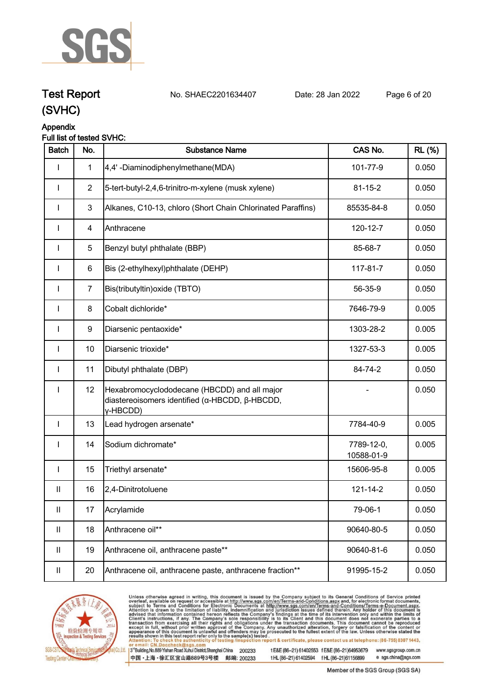

**Test Report. No. SHAEC2201634407 Date: 28 Jan 2022. Page 6 of 20.**

# **(SVHC)**

### **Appendix**

### **Full list of tested SVHC:**

| <b>Batch</b>               | No.            | <b>Substance Name</b>                                                                                      | CAS No.                  | <b>RL</b> (%) |
|----------------------------|----------------|------------------------------------------------------------------------------------------------------------|--------------------------|---------------|
| I                          | $\mathbf{1}$   | 4,4'-Diaminodiphenylmethane(MDA)                                                                           | 101-77-9                 | 0.050         |
| $\mathbf{I}$               | $\overline{2}$ | 5-tert-butyl-2,4,6-trinitro-m-xylene (musk xylene)                                                         | $81 - 15 - 2$            | 0.050         |
| I                          | $\mathbf{3}$   | Alkanes, C10-13, chloro (Short Chain Chlorinated Paraffins)                                                | 85535-84-8               | 0.050         |
|                            | 4              | Anthracene                                                                                                 | 120-12-7                 | 0.050         |
| I                          | 5              | Benzyl butyl phthalate (BBP)                                                                               | 85-68-7                  | 0.050         |
| I                          | 6              | Bis (2-ethylhexyl)phthalate (DEHP)                                                                         | 117-81-7                 | 0.050         |
| I                          | $\overline{7}$ | Bis(tributyltin) oxide (TBTO)                                                                              | 56-35-9                  | 0.050         |
| $\mathbf{I}$               | 8              | Cobalt dichloride*                                                                                         | 7646-79-9                | 0.005         |
| <b>I</b>                   | 9              | Diarsenic pentaoxide*                                                                                      | 1303-28-2                | 0.005         |
| I                          | 10             | Diarsenic trioxide*                                                                                        | 1327-53-3                | 0.005         |
| <b>I</b>                   | 11             | Dibutyl phthalate (DBP)                                                                                    | 84-74-2                  | 0.050         |
| I                          | 12             | Hexabromocyclododecane (HBCDD) and all major<br>diastereoisomers identified (α-HBCDD, β-HBCDD,<br>y-HBCDD) |                          | 0.050         |
| $\mathsf I$                | 13             | Lead hydrogen arsenate*                                                                                    | 7784-40-9                | 0.005         |
| $\mathbf{I}$               | 14             | Sodium dichromate*                                                                                         | 7789-12-0,<br>10588-01-9 | 0.005         |
| <b>I</b>                   | 15             | Triethyl arsenate*                                                                                         | 15606-95-8               | 0.005         |
| Ш                          | 16             | 2,4-Dinitrotoluene                                                                                         | 121-14-2                 | 0.050         |
| $\ensuremath{\mathsf{II}}$ | 17             | Acrylamide                                                                                                 | 79-06-1                  | 0.050         |
| $\mathbf{II}$              | 18             | Anthracene oil**                                                                                           | 90640-80-5               | 0.050         |
| $\mathbf{II}$              | 19             | Anthracene oil, anthracene paste**                                                                         | 90640-81-6               | 0.050         |
| $\ensuremath{\mathsf{II}}$ | 20             | Anthracene oil, anthracene paste, anthracene fraction**                                                    | 91995-15-2               | 0.050         |



Unless otherwise agreed in writing, this document is issued by the Company subject to its General Conditions of Service printed overleaf, available on request or accessible at http://www.sgs.com/en/Terms-and-Conditions.asp

3<sup>te</sup>Building, No.889 Yishan Road Xuhui District, Shanghai China 200233 中国·上海·徐汇区宜山路889号3号楼 邮编: 200233

tE&E (86-21) 61402553 fE&E (86-21)64953679 www.sgsgroup.com.cn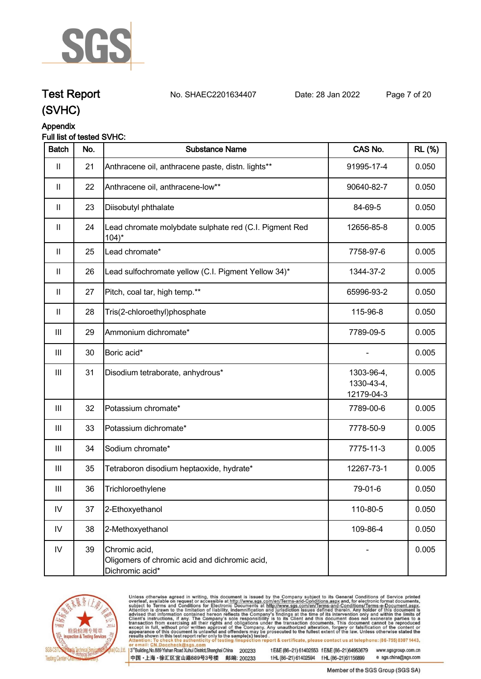

# **Test Report. No. SHAEC2201634407 Date: 28 Jan 2022. Page 7 of 20.**

**(SVHC)**

# **Appendix**

## **Full list of tested SVHC:**

| <b>Batch</b>               | No. | <b>Substance Name</b>                                                             | CAS No.                                | <b>RL</b> (%) |
|----------------------------|-----|-----------------------------------------------------------------------------------|----------------------------------------|---------------|
| $\mathbf{  }$              | 21  | Anthracene oil, anthracene paste, distn. lights**                                 | 91995-17-4                             | 0.050         |
| $\mathbf{II}$              | 22  | Anthracene oil, anthracene-low**                                                  | 90640-82-7                             | 0.050         |
| $\mathbf{II}$              | 23  | Diisobutyl phthalate                                                              | 84-69-5                                | 0.050         |
| $\mathbf{II}$              | 24  | Lead chromate molybdate sulphate red (C.I. Pigment Red<br>$104$ <sup>*</sup>      | 12656-85-8                             | 0.005         |
| $\ensuremath{\mathsf{II}}$ | 25  | Lead chromate*                                                                    | 7758-97-6                              | 0.005         |
| $\mathbf{II}$              | 26  | Lead sulfochromate yellow (C.I. Pigment Yellow 34)*                               | 1344-37-2                              | 0.005         |
| $\mathbf{II}$              | 27  | Pitch, coal tar, high temp.**                                                     | 65996-93-2                             | 0.050         |
| $\ensuremath{\mathsf{II}}$ | 28  | Tris(2-chloroethyl)phosphate                                                      | 115-96-8                               | 0.050         |
| Ш                          | 29  | Ammonium dichromate*                                                              | 7789-09-5                              | 0.005         |
| Ш                          | 30  | Boric acid*                                                                       |                                        | 0.005         |
| $\  \ $                    | 31  | Disodium tetraborate, anhydrous*                                                  | 1303-96-4,<br>1330-43-4,<br>12179-04-3 | 0.005         |
| $\mathbf{III}$             | 32  | Potassium chromate*                                                               | 7789-00-6                              | 0.005         |
| $\mathbf{III}$             | 33  | Potassium dichromate*                                                             | 7778-50-9                              | 0.005         |
| Ш                          | 34  | Sodium chromate*                                                                  | 7775-11-3                              | 0.005         |
| Ш                          | 35  | Tetraboron disodium heptaoxide, hydrate*                                          | 12267-73-1                             | 0.005         |
| Ш                          | 36  | Trichloroethylene                                                                 | 79-01-6                                | 0.050         |
| ${\sf IV}$                 | 37  | 2-Ethoxyethanol                                                                   | 110-80-5                               | 0.050         |
| ${\sf IV}$                 | 38  | 2-Methoxyethanol                                                                  | 109-86-4                               | 0.050         |
| ${\sf IV}$                 | 39  | Chromic acid,<br>Oligomers of chromic acid and dichromic acid,<br>Dichromic acid* |                                        | 0.005         |



Unless otherwise agreed in writing, this document is issued by the Company subject to its General Conditions of Service printed overleaf, available on request or accessible at http://www.sgs.com/en/Terms-and-Conditions.asp

3<sup>te</sup>Building, No.889 Yishan Road Xuhui District, Shanghai China 200233 中国·上海·徐汇区宜山路889号3号楼 邮编: 200233

tE&E (86-21) 61402553 fE&E (86-21)64953679 www.sgsgroup.com.cn

tHL (86-21) 61402594 fHL (86-21)61156899

e sgs.china@sgs.com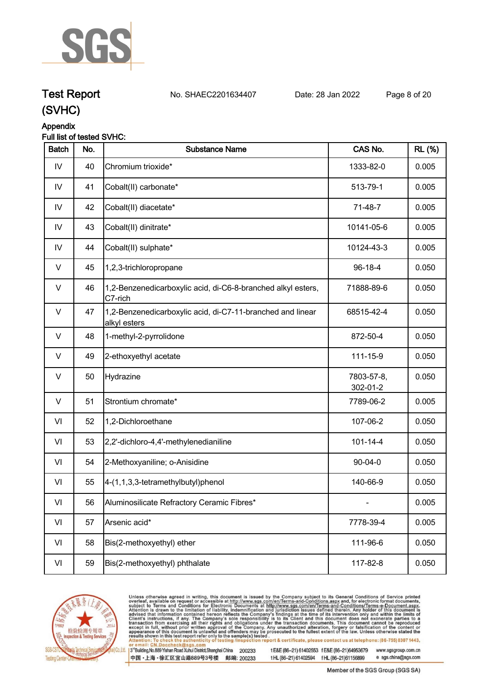

# **Test Report. No. SHAEC2201634407 Date: 28 Jan 2022. Page 8 of 20.**

**(SVHC)**

# **Appendix**

## **Full list of tested SVHC:**

| <b>Batch</b>  | No. | <b>Substance Name</b>                                                      | CAS No.                | <b>RL</b> (%) |
|---------------|-----|----------------------------------------------------------------------------|------------------------|---------------|
| IV            | 40  | Chromium trioxide*                                                         | 1333-82-0              | 0.005         |
| $\mathsf{IV}$ | 41  | Cobalt(II) carbonate*                                                      | 513-79-1               | 0.005         |
| IV            | 42  | Cobalt(II) diacetate*                                                      | 71-48-7                | 0.005         |
| IV            | 43  | Cobalt(II) dinitrate*                                                      | 10141-05-6             | 0.005         |
| IV            | 44  | Cobalt(II) sulphate*                                                       | 10124-43-3             | 0.005         |
| $\vee$        | 45  | 1,2,3-trichloropropane                                                     | 96-18-4                | 0.050         |
| V             | 46  | 1,2-Benzenedicarboxylic acid, di-C6-8-branched alkyl esters,<br>C7-rich    | 71888-89-6             | 0.050         |
| V             | 47  | 1,2-Benzenedicarboxylic acid, di-C7-11-branched and linear<br>alkyl esters | 68515-42-4             | 0.050         |
| V             | 48  | 1-methyl-2-pyrrolidone                                                     | 872-50-4               | 0.050         |
| V             | 49  | 2-ethoxyethyl acetate                                                      | 111-15-9               | 0.050         |
| $\vee$        | 50  | Hydrazine                                                                  | 7803-57-8,<br>302-01-2 | 0.050         |
| $\vee$        | 51  | Strontium chromate*                                                        | 7789-06-2              | 0.005         |
| VI            | 52  | 1,2-Dichloroethane                                                         | 107-06-2               | 0.050         |
| VI            | 53  | 2,2'-dichloro-4,4'-methylenedianiline                                      | $101 - 14 - 4$         | 0.050         |
| VI            | 54  | 2-Methoxyaniline; o-Anisidine                                              | $90 - 04 - 0$          | 0.050         |
| VI            | 55  | 4-(1,1,3,3-tetramethylbutyl)phenol                                         | 140-66-9               | 0.050         |
| VI            | 56  | Aluminosilicate Refractory Ceramic Fibres*                                 |                        | 0.005         |
| VI            | 57  | Arsenic acid*                                                              | 7778-39-4              | 0.005         |
| VI            | 58  | Bis(2-methoxyethyl) ether                                                  | 111-96-6               | 0.050         |
| VI            | 59  | Bis(2-methoxyethyl) phthalate                                              | 117-82-8               | 0.050         |



Unless otherwise agreed in writing, this document is issued by the Company subject to its General Conditions of Service printed overleaf, available on request or accessible at http://www.sgs.com/en/Terms-and-Conditions.asp

3<sup>te</sup>Building, No.889 Yishan Road Xuhui District, Shanghai China 200233 中国·上海·徐汇区宜山路889号3号楼 邮编: 200233

tE&E (86-21) 61402553 fE&E (86-21)64953679 www.sgsgroup.com.cn e sgs.china@sgs.com

tHL (86-21) 61402594 fHL (86-21)61156899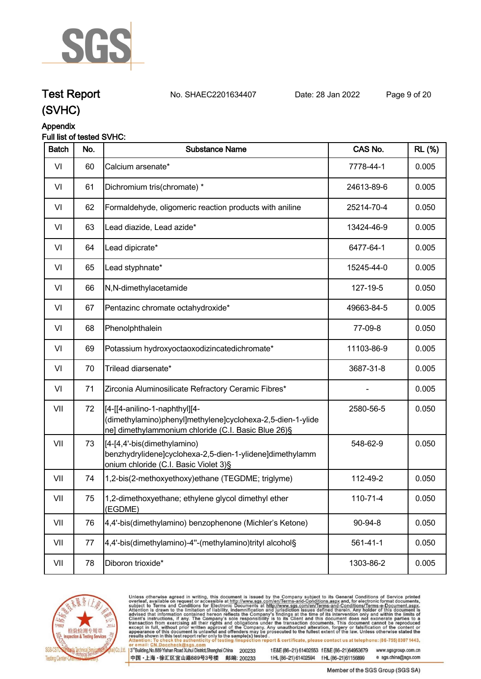

**Test Report. No. SHAEC2201634407 Date: 28 Jan 2022. Page 9 of 20.**

# **(SVHC)**

### **Appendix**

### **Full list of tested SVHC:**

| <b>Batch</b> | No. | <b>Substance Name</b>                                                                                                                               | CAS No.        | <b>RL</b> (%) |
|--------------|-----|-----------------------------------------------------------------------------------------------------------------------------------------------------|----------------|---------------|
| VI           | 60  | Calcium arsenate*                                                                                                                                   | 7778-44-1      | 0.005         |
| VI           | 61  | Dichromium tris(chromate) *                                                                                                                         | 24613-89-6     | 0.005         |
| VI           | 62  | Formaldehyde, oligomeric reaction products with aniline                                                                                             | 25214-70-4     | 0.050         |
| VI           | 63  | Lead diazide, Lead azide*                                                                                                                           | 13424-46-9     | 0.005         |
| VI           | 64  | Lead dipicrate*                                                                                                                                     | 6477-64-1      | 0.005         |
| VI           | 65  | Lead styphnate*                                                                                                                                     | 15245-44-0     | 0.005         |
| VI           | 66  | N,N-dimethylacetamide                                                                                                                               | 127-19-5       | 0.050         |
| VI           | 67  | Pentazinc chromate octahydroxide*                                                                                                                   | 49663-84-5     | 0.005         |
| VI           | 68  | Phenolphthalein                                                                                                                                     | 77-09-8        | 0.050         |
| VI           | 69  | Potassium hydroxyoctaoxodizincatedichromate*                                                                                                        | 11103-86-9     | 0.005         |
| VI           | 70  | Trilead diarsenate*                                                                                                                                 | 3687-31-8      | 0.005         |
| VI           | 71  | Zirconia Aluminosilicate Refractory Ceramic Fibres*                                                                                                 |                | 0.005         |
| VII          | 72  | [[4-[[4-anilino-1-naphthyl][4-<br>(dimethylamino)phenyl]methylene]cyclohexa-2,5-dien-1-ylide<br>ne] dimethylammonium chloride (C.I. Basic Blue 26)§ | 2580-56-5      | 0.050         |
| VII          | 73  | [[4-[4,4'-bis(dimethylamino)<br>benzhydrylidene]cyclohexa-2,5-dien-1-ylidene]dimethylamm<br>onium chloride (C.I. Basic Violet 3)§                   | 548-62-9       | 0.050         |
| VII          | 74  | 1,2-bis(2-methoxyethoxy)ethane (TEGDME; triglyme)                                                                                                   | 112-49-2       | 0.050         |
| VII          | 75  | 1,2-dimethoxyethane; ethylene glycol dimethyl ether<br>(EGDME)                                                                                      | $110 - 71 - 4$ | 0.050         |
| VII          | 76  | 4,4'-bis(dimethylamino) benzophenone (Michler's Ketone)                                                                                             | 90-94-8        | 0.050         |
| VII          | 77  | 4,4'-bis(dimethylamino)-4"-(methylamino)trityl alcohol§                                                                                             | $561 - 41 - 1$ | 0.050         |
| VII          | 78  | Diboron trioxide*                                                                                                                                   | 1303-86-2      | 0.005         |



Unless otherwise agreed in writing, this document is issued by the Company subject to its General Conditions of Service printed overleaf, available on request or accessible at http://www.sgs.com/en/Terms-and-Conditions.asp

3<sup>te</sup>Building, No.889 Yishan Road Xuhui District, Shanghai China 200233 中国·上海·徐汇区宜山路889号3号楼 邮编: 200233

tE&E (86-21) 61402553 fE&E (86-21)64953679 www.sgsgroup.com.cn

tHL (86-21) 61402594 fHL (86-21)61156899

e sgs.china@sgs.com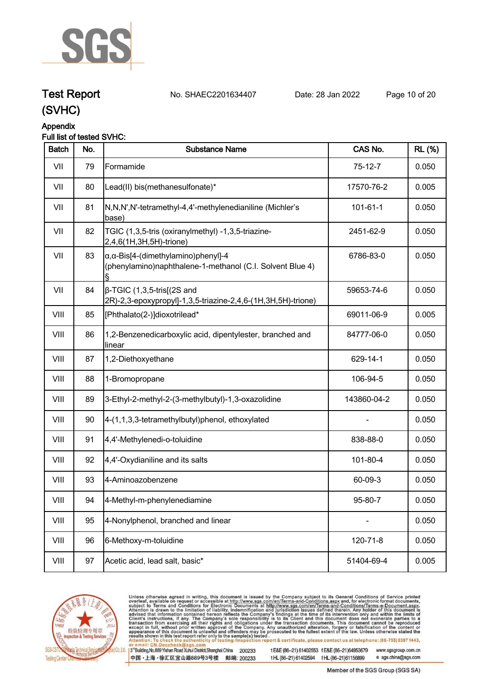

# **Test Report. No. SHAEC2201634407 Date: 28 Jan 2022. Page 10 of 20.**

**(SVHC)**

#### **Appendix Full list of tested SVHC:**

| <b>Batch</b> | No. | <b>Substance Name</b>                                                                                            | CAS No.        | <b>RL</b> (%) |
|--------------|-----|------------------------------------------------------------------------------------------------------------------|----------------|---------------|
| VII          | 79  | Formamide                                                                                                        | $75-12-7$      | 0.050         |
| VII          | 80  | Lead(II) bis(methanesulfonate)*                                                                                  | 17570-76-2     | 0.005         |
| VII          | 81  | N,N,N',N'-tetramethyl-4,4'-methylenedianiline (Michler's<br>base)                                                | $101 - 61 - 1$ | 0.050         |
| VII          | 82  | TGIC (1,3,5-tris (oxiranylmethyl) -1,3,5-triazine-<br>2,4,6(1H,3H,5H)-trione)                                    | 2451-62-9      | 0.050         |
| VII          | 83  | $\alpha$ , $\alpha$ -Bis[4-(dimethylamino)phenyl]-4<br>(phenylamino)naphthalene-1-methanol (C.I. Solvent Blue 4) | 6786-83-0      | 0.050         |
| VII          | 84  | $\beta$ -TGIC (1,3,5-tris[(2S and<br>2R)-2,3-epoxypropyl]-1,3,5-triazine-2,4,6-(1H,3H,5H)-trione)                | 59653-74-6     | 0.050         |
| VIII         | 85  | [Phthalato(2-)]dioxotrilead*                                                                                     | 69011-06-9     | 0.005         |
| VIII         | 86  | 1,2-Benzenedicarboxylic acid, dipentylester, branched and<br>linear                                              | 84777-06-0     | 0.050         |
| VIII         | 87  | 1,2-Diethoxyethane                                                                                               | 629-14-1       | 0.050         |
| VIII         | 88  | 1-Bromopropane                                                                                                   | 106-94-5       | 0.050         |
| VIII         | 89  | 3-Ethyl-2-methyl-2-(3-methylbutyl)-1,3-oxazolidine                                                               | 143860-04-2    | 0.050         |
| VIII         | 90  | 4-(1,1,3,3-tetramethylbutyl)phenol, ethoxylated                                                                  |                | 0.050         |
| VIII         | 91  | 4,4'-Methylenedi-o-toluidine                                                                                     | 838-88-0       | 0.050         |
| VIII         | 92  | 4,4'-Oxydianiline and its salts                                                                                  | 101-80-4       | 0.050         |
| VIII         | 93  | 4-Aminoazobenzene                                                                                                | 60-09-3        | 0.050         |
| VIII         | 94  | 4-Methyl-m-phenylenediamine                                                                                      | 95-80-7        | 0.050         |
| VIII         | 95  | 4-Nonylphenol, branched and linear                                                                               |                | 0.050         |
| VIII         | 96  | 6-Methoxy-m-toluidine                                                                                            | 120-71-8       | 0.050         |
| VIII         | 97  | Acetic acid, lead salt, basic*                                                                                   | 51404-69-4     | 0.005         |
|              |     |                                                                                                                  |                |               |



Unless otherwise agreed in writing, this document is issued by the Company subject to its General Conditions of Service printed overleaf, available on request or accessible at http://www.sgs.com/en/Terms-and-Conditions.asp

3<sup>te</sup>Building, No.889 Yishan Road Xuhui District, Shanghai China 200233 中国·上海·徐汇区宜山路889号3号楼 邮编: 200233

tE&E (86-21) 61402553 fE&E (86-21)64953679 www.sgsgroup.com.cn e sgs.china@sgs.com tHL (86-21) 61402594 fHL (86-21)61156899

Member of the SGS Group (SGS SA)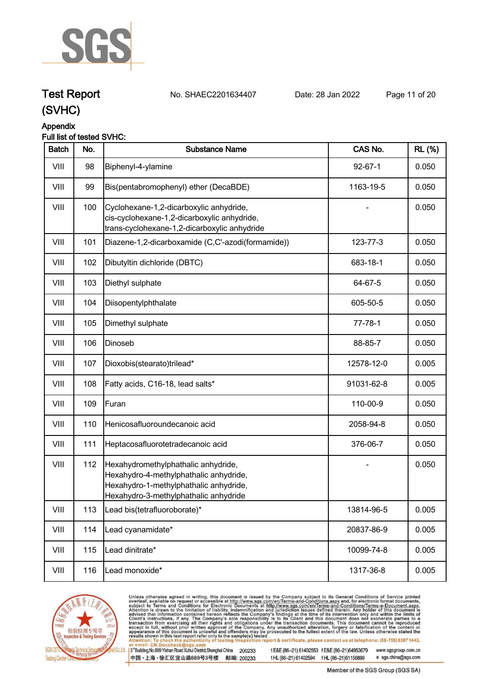

# **Test Report. No. SHAEC2201634407 Date: 28 Jan 2022. Page 11 of 20.**

# **(SVHC)**

### **Appendix**

### **Full list of tested SVHC:**

| <b>Batch</b> | No. | <b>Substance Name</b>                                                                                                                                            | CAS No.       | <b>RL (%)</b> |
|--------------|-----|------------------------------------------------------------------------------------------------------------------------------------------------------------------|---------------|---------------|
| VIII         | 98  | Biphenyl-4-ylamine                                                                                                                                               | $92 - 67 - 1$ | 0.050         |
| VIII         | 99  | Bis(pentabromophenyl) ether (DecaBDE)                                                                                                                            | 1163-19-5     | 0.050         |
| VIII         | 100 | Cyclohexane-1,2-dicarboxylic anhydride,<br>cis-cyclohexane-1,2-dicarboxylic anhydride,<br>trans-cyclohexane-1,2-dicarboxylic anhydride                           |               | 0.050         |
| VIII         | 101 | Diazene-1,2-dicarboxamide (C,C'-azodi(formamide))                                                                                                                | 123-77-3      | 0.050         |
| VIII         | 102 | Dibutyltin dichloride (DBTC)                                                                                                                                     | 683-18-1      | 0.050         |
| VIII         | 103 | Diethyl sulphate                                                                                                                                                 | 64-67-5       | 0.050         |
| VIII         | 104 | Diisopentylphthalate                                                                                                                                             | 605-50-5      | 0.050         |
| VIII         | 105 | Dimethyl sulphate                                                                                                                                                | $77 - 78 - 1$ | 0.050         |
| VIII         | 106 | Dinoseb                                                                                                                                                          | 88-85-7       | 0.050         |
| VIII         | 107 | Dioxobis(stearato)trilead*                                                                                                                                       | 12578-12-0    | 0.005         |
| VIII         | 108 | Fatty acids, C16-18, lead salts*                                                                                                                                 | 91031-62-8    | 0.005         |
| VIII         | 109 | Furan                                                                                                                                                            | 110-00-9      | 0.050         |
| VIII         | 110 | Henicosafluoroundecanoic acid                                                                                                                                    | 2058-94-8     | 0.050         |
| VIII         | 111 | Heptacosafluorotetradecanoic acid                                                                                                                                | 376-06-7      | 0.050         |
| VIII         | 112 | Hexahydromethylphathalic anhydride,<br>Hexahydro-4-methylphathalic anhydride,<br>Hexahydro-1-methylphathalic anhydride,<br>Hexahydro-3-methylphathalic anhydride |               | 0.050         |
| VIII         | 113 | Lead bis(tetrafluoroborate)*                                                                                                                                     | 13814-96-5    | 0.005         |
| VIII         | 114 | Lead cyanamidate*                                                                                                                                                | 20837-86-9    | 0.005         |
| VIII         | 115 | Lead dinitrate*                                                                                                                                                  | 10099-74-8    | 0.005         |
| VIII         | 116 | Lead monoxide*                                                                                                                                                   | 1317-36-8     | 0.005         |
|              |     |                                                                                                                                                                  |               |               |



Unless otherwise agreed in writing, this document is issued by the Company subject to its General Conditions of Service printed overleaf, available on request or accessible at http://www.sgs.com/en/Terms-and-Conditions.asp

3<sup>te</sup>Building, No.889 Yishan Road Xuhui District, Shanghai China 200233 中国·上海·徐汇区宜山路889号3号楼 邮编: 200233

tE&E (86-21) 61402553 fE&E (86-21)64953679 www.sgsgroup.com.cn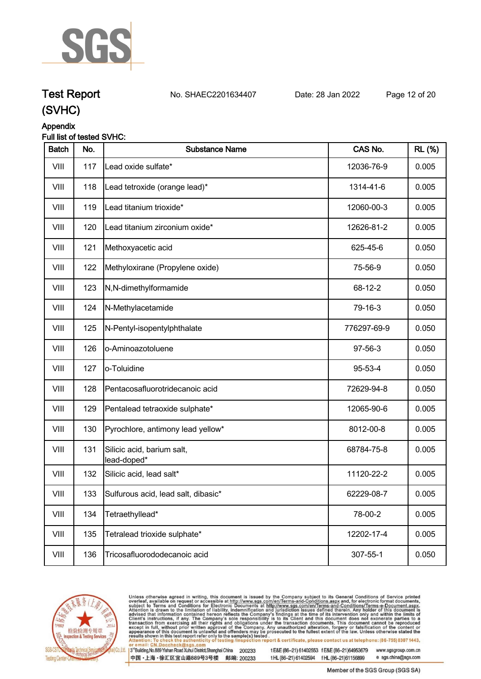

# **Test Report. No. SHAEC2201634407 Date: 28 Jan 2022. Page 12 of 20.**

**(SVHC)**

# **Appendix**

| <b>Batch</b> | No. | <b>Substance Name</b>                     | CAS No.     | <b>RL</b> (%) |
|--------------|-----|-------------------------------------------|-------------|---------------|
| VIII         | 117 | Lead oxide sulfate*                       | 12036-76-9  | 0.005         |
| VIII         | 118 | Lead tetroxide (orange lead)*             | 1314-41-6   | 0.005         |
| VIII         | 119 | Lead titanium trioxide*                   | 12060-00-3  | 0.005         |
| VIII         | 120 | Lead titanium zirconium oxide*            | 12626-81-2  | 0.005         |
| VIII         | 121 | Methoxyacetic acid                        | 625-45-6    | 0.050         |
| VIII         | 122 | Methyloxirane (Propylene oxide)           | 75-56-9     | 0.050         |
| VIII         | 123 | N,N-dimethylformamide                     | 68-12-2     | 0.050         |
| VIII         | 124 | N-Methylacetamide                         | 79-16-3     | 0.050         |
| VIII         | 125 | N-Pentyl-isopentylphthalate               | 776297-69-9 | 0.050         |
| VIII         | 126 | o-Aminoazotoluene                         | 97-56-3     | 0.050         |
| VIII         | 127 | o-Toluidine                               | 95-53-4     | 0.050         |
| VIII         | 128 | Pentacosafluorotridecanoic acid           | 72629-94-8  | 0.050         |
| VIII         | 129 | Pentalead tetraoxide sulphate*            | 12065-90-6  | 0.005         |
| VIII         | 130 | Pyrochlore, antimony lead yellow*         | 8012-00-8   | 0.005         |
| VIII         | 131 | Silicic acid, barium salt,<br>lead-doped* | 68784-75-8  | 0.005         |
| VIII         | 132 | Silicic acid, lead salt*                  | 11120-22-2  | 0.005         |
| VIII         | 133 | Sulfurous acid, lead salt, dibasic*       | 62229-08-7  | 0.005         |
| VIII         | 134 | Tetraethyllead*                           | 78-00-2     | 0.005         |
| VIII         | 135 | Tetralead trioxide sulphate*              | 12202-17-4  | 0.005         |
| VIII         | 136 | Tricosafluorododecanoic acid              | 307-55-1    | 0.050         |



Unless otherwise agreed in writing, this document is issued by the Company subject to its General Conditions of Service printed overleaf, available on request or accessible at http://www.sgs.com/en/Terms-and-Conditions.asp

3<sup>te</sup>Building, No.889 Yishan Road Xuhui District, Shanghai China 200233 中国·上海·徐汇区宜山路889号3号楼 邮编: 200233

tE&E (86-21) 61402553 fE&E (86-21)64953679 www.sgsgroup.com.cn tHL (86-21) 61402594 fHL (86-21)61156899 e sgs.china@sgs.com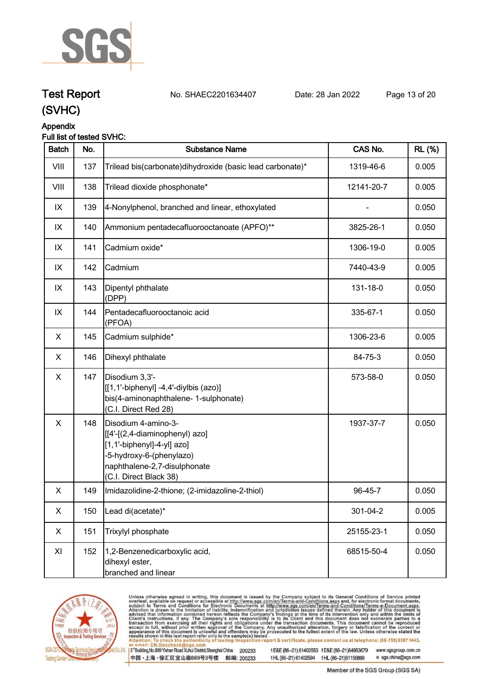

# **Test Report. No. SHAEC2201634407 Date: 28 Jan 2022. Page 13 of 20.**

# **(SVHC)**

### **Appendix**

## **Full list of tested SVHC:**

| <b>Batch</b> | No. | <b>Substance Name</b>                                                                                                                                                     | CAS No.    | <b>RL</b> (%) |
|--------------|-----|---------------------------------------------------------------------------------------------------------------------------------------------------------------------------|------------|---------------|
| VIII         | 137 | Trilead bis(carbonate)dihydroxide (basic lead carbonate)*                                                                                                                 | 1319-46-6  | 0.005         |
| VIII         | 138 | Trilead dioxide phosphonate*                                                                                                                                              | 12141-20-7 | 0.005         |
| IX           | 139 | 4-Nonylphenol, branched and linear, ethoxylated                                                                                                                           |            | 0.050         |
| IX           | 140 | Ammonium pentadecafluorooctanoate (APFO)**                                                                                                                                | 3825-26-1  | 0.050         |
| IX           | 141 | Cadmium oxide*                                                                                                                                                            | 1306-19-0  | 0.005         |
| IX           | 142 | Cadmium                                                                                                                                                                   | 7440-43-9  | 0.005         |
| IX           | 143 | Dipentyl phthalate<br>(DPP)                                                                                                                                               | 131-18-0   | 0.050         |
| IX           | 144 | Pentadecafluorooctanoic acid<br>(PFOA)                                                                                                                                    | 335-67-1   | 0.050         |
| X            | 145 | Cadmium sulphide*                                                                                                                                                         | 1306-23-6  | 0.005         |
| X            | 146 | Dihexyl phthalate                                                                                                                                                         | 84-75-3    | 0.050         |
| X            | 147 | Disodium 3,3'-<br>[[1,1'-biphenyl] -4,4'-diylbis (azo)]<br>bis(4-aminonaphthalene- 1-sulphonate)<br>(C.I. Direct Red 28)                                                  | 573-58-0   | 0.050         |
| X            | 148 | Disodium 4-amino-3-<br>[[4'-[(2,4-diaminophenyl) azo]<br>[1,1'-biphenyl]-4-yl] azo]<br>-5-hydroxy-6-(phenylazo)<br>naphthalene-2,7-disulphonate<br>(C.I. Direct Black 38) | 1937-37-7  | 0.050         |
| X            | 149 | Imidazolidine-2-thione; (2-imidazoline-2-thiol)                                                                                                                           | 96-45-7    | 0.050         |
| X            | 150 | Lead di(acetate)*                                                                                                                                                         | 301-04-2   | 0.005         |
| X            | 151 | Trixylyl phosphate                                                                                                                                                        | 25155-23-1 | 0.050         |
| XI           | 152 | 1,2-Benzenedicarboxylic acid,<br>dihexyl ester,<br>branched and linear                                                                                                    | 68515-50-4 | 0.050         |



Unless otherwise agreed in writing, this document is issued by the Company subject to its General Conditions of Service printed overleaf, available on request or accessible at http://www.sgs.com/en/Terms-and-Conditions.asp

3<sup>te</sup>Building, No.889 Yishan Road Xuhui District, Shanghai China 200233 中国·上海·徐汇区宜山路889号3号楼 邮编: 200233

tE&E (86-21) 61402553 fE&E (86-21)64953679 www.sgsgroup.com.cn e sgs.china@sgs.com tHL (86-21) 61402594 fHL (86-21)61156899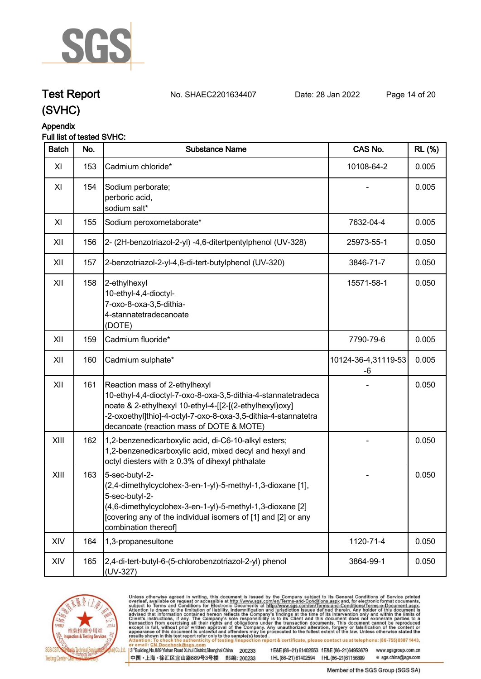

# **Test Report. No. SHAEC2201634407 Date: 28 Jan 2022. Page 14 of 20.**

**(SVHC)**



# **Appendix**

### **Full list of tested SVHC:**

| <b>Batch</b> | No. | <b>Substance Name</b>                                                                                                                                                                                                                                                   | CAS No.                   | <b>RL</b> (%) |
|--------------|-----|-------------------------------------------------------------------------------------------------------------------------------------------------------------------------------------------------------------------------------------------------------------------------|---------------------------|---------------|
| XI           | 153 | Cadmium chloride*                                                                                                                                                                                                                                                       | 10108-64-2                | 0.005         |
| XI           | 154 | Sodium perborate;<br>perboric acid,<br>sodium salt*                                                                                                                                                                                                                     |                           | 0.005         |
| XI           | 155 | Sodium peroxometaborate*                                                                                                                                                                                                                                                | 7632-04-4                 | 0.005         |
| XII          | 156 | 2- (2H-benzotriazol-2-yl) -4,6-ditertpentylphenol (UV-328)                                                                                                                                                                                                              | 25973-55-1                | 0.050         |
| XII          | 157 | 2-benzotriazol-2-yl-4,6-di-tert-butylphenol (UV-320)                                                                                                                                                                                                                    | 3846-71-7                 | 0.050         |
| XII          | 158 | 2-ethylhexyl<br>10-ethyl-4,4-dioctyl-<br>7-oxo-8-oxa-3,5-dithia-<br>4-stannatetradecanoate<br>(DOTE)                                                                                                                                                                    | 15571-58-1                | 0.050         |
| XII          | 159 | Cadmium fluoride*                                                                                                                                                                                                                                                       | 7790-79-6                 | 0.005         |
| XII          | 160 | Cadmium sulphate*                                                                                                                                                                                                                                                       | 10124-36-4,31119-53<br>-6 | 0.005         |
| XII          | 161 | Reaction mass of 2-ethylhexyl<br>10-ethyl-4,4-dioctyl-7-oxo-8-oxa-3,5-dithia-4-stannatetradeca<br>noate & 2-ethylhexyl 10-ethyl-4-[[2-[(2-ethylhexyl)oxy]<br>-2-oxoethyl]thio]-4-octyl-7-oxo-8-oxa-3,5-dithia-4-stannatetra<br>decanoate (reaction mass of DOTE & MOTE) |                           | 0.050         |
| XIII         | 162 | 1,2-benzenedicarboxylic acid, di-C6-10-alkyl esters;<br>1,2-benzenedicarboxylic acid, mixed decyl and hexyl and<br>octyl diesters with ≥ 0.3% of dihexyl phthalate                                                                                                      |                           | 0.050         |
| XIII         | 163 | 5-sec-butyl-2-<br>(2,4-dimethylcyclohex-3-en-1-yl)-5-methyl-1,3-dioxane [1],<br>5-sec-butyl-2-<br>(4,6-dimethylcyclohex-3-en-1-yl)-5-methyl-1,3-dioxane [2]<br>[covering any of the individual isomers of [1] and [2] or any<br>combination thereof]                    |                           | 0.050         |
| XIV          | 164 | 1,3-propanesultone                                                                                                                                                                                                                                                      | 1120-71-4                 | 0.050         |
| XIV          | 165 | 2,4-di-tert-butyl-6-(5-chlorobenzotriazol-2-yl) phenol<br>(UV-327)                                                                                                                                                                                                      | 3864-99-1                 | 0.050         |



Unless otherwise agreed in writing, this document is issued by the Company subject to its General Conditions of Service printed overleaf, available on request or accessible at http://www.sgs.com/en/Terms-and-Conditions.asp

3<sup>te</sup>Building, No.889 Yishan Road Xuhui District, Shanghai China 200233 中国·上海·徐汇区宜山路889号3号楼 邮编: 200233

tE&E (86-21) 61402553 fE&E (86-21)64953679 www.sgsgroup.com.cn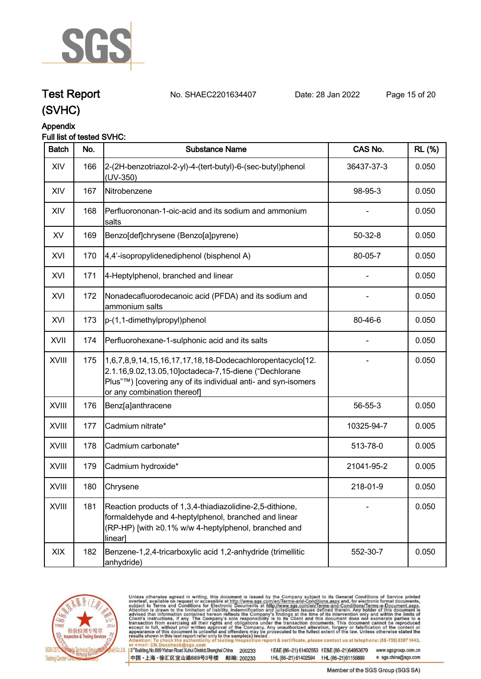

# **Test Report. No. SHAEC2201634407 Date: 28 Jan 2022. Page 15 of 20.**

**(SVHC)**



# **Appendix**

## **Full list of tested SVHC:**

| <b>Batch</b> | No. | <b>Substance Name</b>                                                                                                                                                                                              | CAS No.    | <b>RL</b> (%) |
|--------------|-----|--------------------------------------------------------------------------------------------------------------------------------------------------------------------------------------------------------------------|------------|---------------|
| XIV          | 166 | 2-(2H-benzotriazol-2-yl)-4-(tert-butyl)-6-(sec-butyl)phenol<br>(UV-350)                                                                                                                                            | 36437-37-3 | 0.050         |
| XIV          | 167 | Nitrobenzene                                                                                                                                                                                                       | 98-95-3    | 0.050         |
| XIV          | 168 | Perfluorononan-1-oic-acid and its sodium and ammonium<br> salts                                                                                                                                                    |            | 0.050         |
| XV           | 169 | Benzo[def]chrysene (Benzo[a]pyrene)                                                                                                                                                                                | $50-32-8$  | 0.050         |
| XVI          | 170 | 4,4'-isopropylidenediphenol (bisphenol A)                                                                                                                                                                          | 80-05-7    | 0.050         |
| XVI          | 171 | 4-Heptylphenol, branched and linear                                                                                                                                                                                |            | 0.050         |
| XVI          | 172 | Nonadecafluorodecanoic acid (PFDA) and its sodium and<br>ammonium salts                                                                                                                                            |            | 0.050         |
| XVI          | 173 | p-(1,1-dimethylpropyl)phenol                                                                                                                                                                                       | 80-46-6    | 0.050         |
| XVII         | 174 | Perfluorohexane-1-sulphonic acid and its salts                                                                                                                                                                     |            | 0.050         |
| <b>XVIII</b> | 175 | 1,6,7,8,9,14,15,16,17,17,18,18-Dodecachloropentacyclo[12.<br>2.1.16,9.02,13.05,10]octadeca-7,15-diene ("Dechlorane<br>Plus"™) [covering any of its individual anti- and syn-isomers<br>or any combination thereof] |            | 0.050         |
| XVIII        | 176 | Benz[a]anthracene                                                                                                                                                                                                  | 56-55-3    | 0.050         |
| <b>XVIII</b> | 177 | Cadmium nitrate*                                                                                                                                                                                                   | 10325-94-7 | 0.005         |
| <b>XVIII</b> | 178 | Cadmium carbonate*                                                                                                                                                                                                 | 513-78-0   | 0.005         |
| XVIII        | 179 | Cadmium hydroxide*                                                                                                                                                                                                 | 21041-95-2 | 0.005         |
| XVIII        | 180 | Chrysene                                                                                                                                                                                                           | 218-01-9   | 0.050         |
| XVIII        | 181 | Reaction products of 1,3,4-thiadiazolidine-2,5-dithione,<br>formaldehyde and 4-heptylphenol, branched and linear<br>(RP-HP) [with ≥0.1% w/w 4-heptylphenol, branched and<br>linear]                                |            | 0.050         |
| XIX          | 182 | Benzene-1,2,4-tricarboxylic acid 1,2-anhydride (trimellitic<br>anhydride)                                                                                                                                          | 552-30-7   | 0.050         |



Unless otherwise agreed in writing, this document is issued by the Company subject to its General Conditions of Service printed overleaf, available on request or accessible at http://www.sgs.com/en/Terms-and-Conditions.asp

3<sup>te</sup>Building, No.889 Yishan Road Xuhui District, Shanghai China 200233 中国·上海·徐汇区宜山路889号3号楼 邮编: 200233

tE&E (86-21) 61402553 fE&E (86-21)64953679 www.sgsgroup.com.cn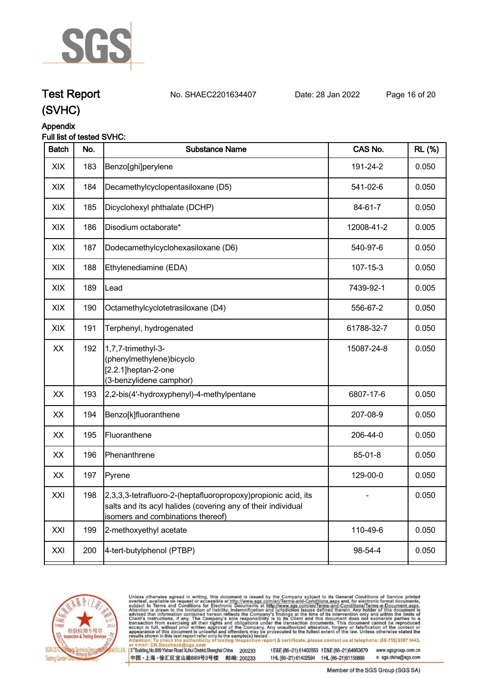

# **Test Report. No. SHAEC2201634407 Date: 28 Jan 2022. Page 16 of 20.**

**(SVHC)**

# **Appendix**

| Full list of tested SVHC: |  |
|---------------------------|--|
|---------------------------|--|

| <b>Batch</b> | No. | <b>Substance Name</b>                                                                                                                                              | CAS No.    | <b>RL (%)</b> |
|--------------|-----|--------------------------------------------------------------------------------------------------------------------------------------------------------------------|------------|---------------|
| XIX          | 183 | Benzo[ghi]perylene                                                                                                                                                 | 191-24-2   | 0.050         |
| XIX          | 184 | Decamethylcyclopentasiloxane (D5)                                                                                                                                  | 541-02-6   | 0.050         |
| XIX          | 185 | Dicyclohexyl phthalate (DCHP)                                                                                                                                      | 84-61-7    | 0.050         |
| XIX          | 186 | Disodium octaborate*                                                                                                                                               | 12008-41-2 | 0.005         |
| XIX          | 187 | Dodecamethylcyclohexasiloxane (D6)                                                                                                                                 | 540-97-6   | 0.050         |
| XIX          | 188 | Ethylenediamine (EDA)                                                                                                                                              | 107-15-3   | 0.050         |
| XIX          | 189 | Lead                                                                                                                                                               | 7439-92-1  | 0.005         |
| XIX          | 190 | Octamethylcyclotetrasiloxane (D4)                                                                                                                                  | 556-67-2   | 0.050         |
| XIX          | 191 | Terphenyl, hydrogenated                                                                                                                                            | 61788-32-7 | 0.050         |
| XX           | 192 | 1,7,7-trimethyl-3-<br>(phenylmethylene)bicyclo<br>[2.2.1]heptan-2-one<br>(3-benzylidene camphor)                                                                   | 15087-24-8 | 0.050         |
| XX           | 193 | 2,2-bis(4'-hydroxyphenyl)-4-methylpentane                                                                                                                          | 6807-17-6  | 0.050         |
| XX           | 194 | Benzo[k]fluoranthene                                                                                                                                               | 207-08-9   | 0.050         |
| XX           | 195 | Fluoranthene                                                                                                                                                       | 206-44-0   | 0.050         |
| XX           | 196 | Phenanthrene                                                                                                                                                       | 85-01-8    | 0.050         |
| XX           | 197 | Pyrene                                                                                                                                                             | 129-00-0   | 0.050         |
| XXI          | 198 | 2,3,3,3-tetrafluoro-2-(heptafluoropropoxy)propionic acid, its<br>salts and its acyl halides (covering any of their individual<br>isomers and combinations thereof) |            | 0.050         |
| XXI          | 199 | 2-methoxyethyl acetate                                                                                                                                             | 110-49-6   | 0.050         |
| XXI          | 200 | 4-tert-butylphenol (PTBP)                                                                                                                                          | 98-54-4    | 0.050         |
|              |     |                                                                                                                                                                    |            |               |



Unless otherwise agreed in writing, this document is issued by the Company subject to its General Conditions of Service printed overleaf, available on request or accessible at http://www.sgs.com/en/Terms-and-Conditions.asp

3<sup>te</sup>Building, No.889 Yishan Road Xuhui District, Shanghai China 200233 中国·上海·徐汇区宜山路889号3号楼 邮编: 200233

tE&E (86-21) 61402553 fE&E (86-21)64953679 www.sgsgroup.com.cn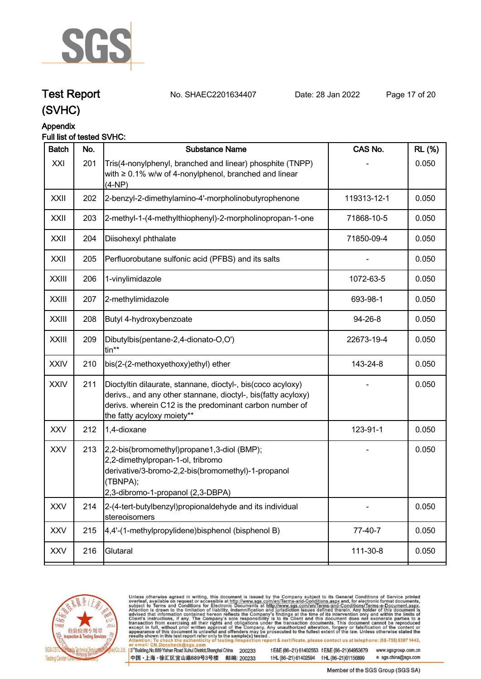

**Test Report. No. SHAEC2201634407 Date: 28 Jan 2022. Page 17 of 20.**

# **Appendix**

## **Full list of tested SVHC:**

| <b>Batch</b> | No. | <b>Substance Name</b>                                                                                                                                                                                                 | CAS No.     | <b>RL</b> (%) |
|--------------|-----|-----------------------------------------------------------------------------------------------------------------------------------------------------------------------------------------------------------------------|-------------|---------------|
| XXI          | 201 | Tris(4-nonylphenyl, branched and linear) phosphite (TNPP)<br>with $\geq 0.1\%$ w/w of 4-nonylphenol, branched and linear<br>(4-NP)                                                                                    |             | 0.050         |
| <b>XXII</b>  | 202 | 2-benzyl-2-dimethylamino-4'-morpholinobutyrophenone                                                                                                                                                                   | 119313-12-1 | 0.050         |
| XXII         | 203 | 2-methyl-1-(4-methylthiophenyl)-2-morpholinopropan-1-one                                                                                                                                                              | 71868-10-5  | 0.050         |
| <b>XXII</b>  | 204 | Diisohexyl phthalate                                                                                                                                                                                                  | 71850-09-4  | 0.050         |
| XXII         | 205 | Perfluorobutane sulfonic acid (PFBS) and its salts                                                                                                                                                                    |             | 0.050         |
| <b>XXIII</b> | 206 | 1-vinylimidazole                                                                                                                                                                                                      | 1072-63-5   | 0.050         |
| <b>XXIII</b> | 207 | 2-methylimidazole                                                                                                                                                                                                     | 693-98-1    | 0.050         |
| <b>XXIII</b> | 208 | Butyl 4-hydroxybenzoate                                                                                                                                                                                               | 94-26-8     | 0.050         |
| <b>XXIII</b> | 209 | Dibutylbis(pentane-2,4-dionato-O,O')<br>tin**                                                                                                                                                                         | 22673-19-4  | 0.050         |
| <b>XXIV</b>  | 210 | bis(2-(2-methoxyethoxy)ethyl) ether                                                                                                                                                                                   | 143-24-8    | 0.050         |
| <b>XXIV</b>  | 211 | Dioctyltin dilaurate, stannane, dioctyl-, bis(coco acyloxy)<br>derivs., and any other stannane, dioctyl-, bis(fatty acyloxy)<br>derivs. wherein C12 is the predominant carbon number of<br>the fatty acyloxy moiety** |             | 0.050         |
| <b>XXV</b>   | 212 | 1,4-dioxane                                                                                                                                                                                                           | 123-91-1    | 0.050         |
| <b>XXV</b>   | 213 | 2,2-bis(bromomethyl)propane1,3-diol (BMP);<br>2,2-dimethylpropan-1-ol, tribromo<br>derivative/3-bromo-2,2-bis(bromomethyl)-1-propanol<br>(TBNPA);<br>2,3-dibromo-1-propanol (2,3-DBPA)                                |             | 0.050         |
| <b>XXV</b>   | 214 | 2-(4-tert-butylbenzyl)propionaldehyde and its individual<br>stereoisomers                                                                                                                                             |             | 0.050         |
| <b>XXV</b>   | 215 | 4,4'-(1-methylpropylidene)bisphenol (bisphenol B)                                                                                                                                                                     | 77-40-7     | 0.050         |
| <b>XXV</b>   | 216 | Glutaral                                                                                                                                                                                                              | 111-30-8    | 0.050         |
|              |     |                                                                                                                                                                                                                       |             |               |



Unless otherwise agreed in writing, this document is issued by the Company subject to its General Conditions of Service printed overleaf, available on request or accessible at http://www.sgs.com/en/Terms-and-Conditions.asp

3<sup>te</sup>Building, No.889 Yishan Road Xuhui District, Shanghai China 200233 中国·上海·徐汇区宜山路889号3号楼 邮编: 200233

tE&E (86-21) 61402553 fE&E (86-21)64953679 www.sgsgroup.com.cn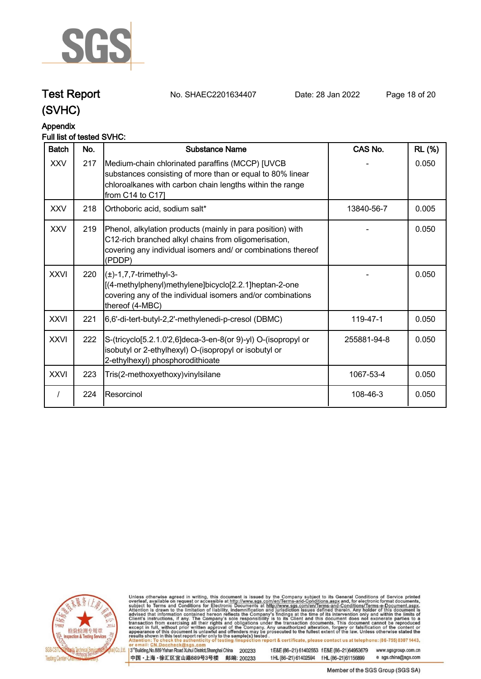

**Test Report. No. SHAEC2201634407 Date: 28 Jan 2022. Page 18 of 20.**

#### **Appendix Full list of tested SVHC:**

| <b>Batch</b> | No. | <b>Substance Name</b>                                                                                                                                                                             | CAS No.     | <b>RL</b> (%) |
|--------------|-----|---------------------------------------------------------------------------------------------------------------------------------------------------------------------------------------------------|-------------|---------------|
| <b>XXV</b>   | 217 | Medium-chain chlorinated paraffins (MCCP) [UVCB<br>substances consisting of more than or equal to 80% linear<br>chloroalkanes with carbon chain lengths within the range<br>from $C14$ to $C17$ ] |             | 0.050         |
| <b>XXV</b>   | 218 | Orthoboric acid, sodium salt*                                                                                                                                                                     | 13840-56-7  | 0.005         |
| <b>XXV</b>   | 219 | Phenol, alkylation products (mainly in para position) with<br>C12-rich branched alkyl chains from oligomerisation,<br>covering any individual isomers and/ or combinations thereof<br>(PDDP)      |             | 0.050         |
| <b>XXVI</b>  | 220 | $(\pm)$ -1,7,7-trimethyl-3-<br>[(4-methylphenyl)methylene]bicyclo[2.2.1]heptan-2-one<br>covering any of the individual isomers and/or combinations<br>thereof (4-MBC)                             |             | 0.050         |
| <b>XXVI</b>  | 221 | 6,6'-di-tert-butyl-2,2'-methylenedi-p-cresol (DBMC)                                                                                                                                               | 119-47-1    | 0.050         |
| <b>XXVI</b>  | 222 | S-(tricyclo[5.2.1.0'2,6]deca-3-en-8(or 9)-yl) O-(isopropyl or<br>isobutyl or 2-ethylhexyl) O-(isopropyl or isobutyl or<br>2-ethylhexyl) phosphorodithioate                                        | 255881-94-8 | 0.050         |
| <b>XXVI</b>  | 223 | Tris(2-methoxyethoxy) vinyl silane                                                                                                                                                                | 1067-53-4   | 0.050         |
|              | 224 | Resorcinol                                                                                                                                                                                        | 108-46-3    | 0.050         |



Unless otherwise agreed in writing, this document is issued by the Company subject to its General Conditions of Service printed overleaf, available on request or accessible at http://www.sgs.com/en/Terms-and-Conditions.asp

3<sup>te</sup>Building, No.889 Yishan Road Xuhui District, Shanghai China 200233 中国·上海·徐汇区宜山路889号3号楼 邮编: 200233

tE&E (86-21) 61402553 fE&E (86-21)64953679 www.sgsgroup.com.cn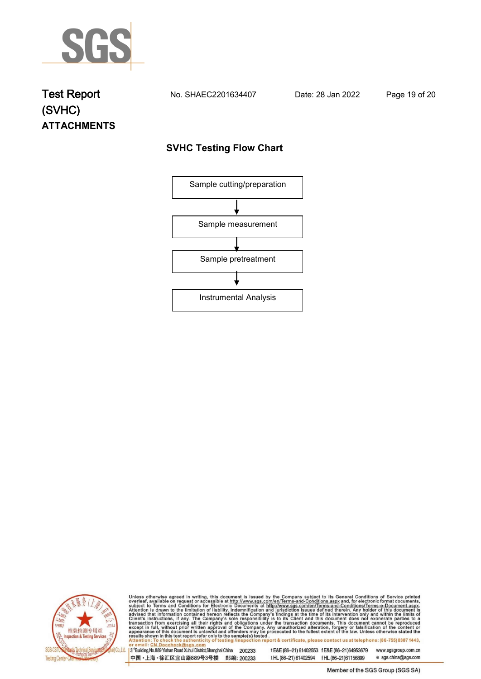

# **Test Report. No. SHAEC2201634407 Date: 28 Jan 2022. Page 19 of 20. (SVHC) ATTACHMENTS**

# **SVHC Testing Flow Chart**





Unless otherwise agreed in writing, this document is issued by the Company subject to its General Conditions of Service printed overleaf, available on request or accessible at http://www.sgs.com/en/Terms-and-Conditions.asp

3<sup>rd</sup>Building, No.889 Yishan Road Xuhui District, Shanghai China 200233 中国·上海·徐汇区宜山路889号3号楼 邮编: 200233

tE&E (86-21) 61402553 fE&E (86-21)64953679 www.sgsgroup.com.cn

e sgs.china@sgs.com t HL (86-21) 61402594 f HL (86-21) 61156899